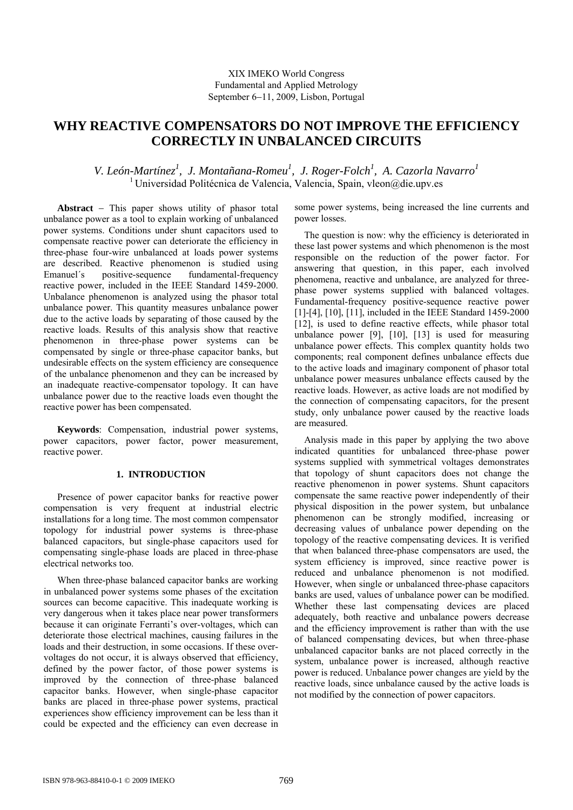# **WHY REACTIVE COMPENSATORS DO NOT IMPROVE THE EFFICIENCY CORRECTLY IN UNBALANCED CIRCUITS**

## V. León-Martínez<sup>1</sup>, J. Montañana-Romeu<sup>1</sup>, J. Roger-Folch<sup>1</sup>, A. Cazorla Navarro<sup>1</sup>  $1$  Universidad Politécnica de Valencia, Valencia, Spain, vleon@die.upv.es

**Abstract** − This paper shows utility of phasor total unbalance power as a tool to explain working of unbalanced power systems. Conditions under shunt capacitors used to compensate reactive power can deteriorate the efficiency in three-phase four-wire unbalanced at loads power systems are described. Reactive phenomenon is studied using Emanuel's positive-sequence fundamental-frequency reactive power, included in the IEEE Standard 1459-2000. Unbalance phenomenon is analyzed using the phasor total unbalance power. This quantity measures unbalance power due to the active loads by separating of those caused by the reactive loads. Results of this analysis show that reactive phenomenon in three-phase power systems can be compensated by single or three-phase capacitor banks, but undesirable effects on the system efficiency are consequence of the unbalance phenomenon and they can be increased by an inadequate reactive-compensator topology. It can have unbalance power due to the reactive loads even thought the reactive power has been compensated.

**Keywords**: Compensation, industrial power systems, power capacitors, power factor, power measurement, reactive power.

### **1. INTRODUCTION**

Presence of power capacitor banks for reactive power compensation is very frequent at industrial electric installations for a long time. The most common compensator topology for industrial power systems is three-phase balanced capacitors, but single-phase capacitors used for compensating single-phase loads are placed in three-phase electrical networks too.

When three-phase balanced capacitor banks are working in unbalanced power systems some phases of the excitation sources can become capacitive. This inadequate working is very dangerous when it takes place near power transformers because it can originate Ferranti's over-voltages, which can deteriorate those electrical machines, causing failures in the loads and their destruction, in some occasions. If these overvoltages do not occur, it is always observed that efficiency, defined by the power factor, of those power systems is improved by the connection of three-phase balanced capacitor banks. However, when single-phase capacitor banks are placed in three-phase power systems, practical experiences show efficiency improvement can be less than it could be expected and the efficiency can even decrease in some power systems, being increased the line currents and power losses.

The question is now: why the efficiency is deteriorated in these last power systems and which phenomenon is the most responsible on the reduction of the power factor. For answering that question, in this paper, each involved phenomena, reactive and unbalance, are analyzed for threephase power systems supplied with balanced voltages. Fundamental-frequency positive-sequence reactive power [1]-[4], [10], [11], included in the IEEE Standard 1459-2000 [12], is used to define reactive effects, while phasor total unbalance power [9], [10], [13] is used for measuring unbalance power effects. This complex quantity holds two components; real component defines unbalance effects due to the active loads and imaginary component of phasor total unbalance power measures unbalance effects caused by the reactive loads. However, as active loads are not modified by the connection of compensating capacitors, for the present study, only unbalance power caused by the reactive loads are measured.

 Analysis made in this paper by applying the two above indicated quantities for unbalanced three-phase power systems supplied with symmetrical voltages demonstrates that topology of shunt capacitors does not change the reactive phenomenon in power systems. Shunt capacitors compensate the same reactive power independently of their physical disposition in the power system, but unbalance phenomenon can be strongly modified, increasing or decreasing values of unbalance power depending on the topology of the reactive compensating devices. It is verified that when balanced three-phase compensators are used, the system efficiency is improved, since reactive power is reduced and unbalance phenomenon is not modified. However, when single or unbalanced three-phase capacitors banks are used, values of unbalance power can be modified. Whether these last compensating devices are placed adequately, both reactive and unbalance powers decrease and the efficiency improvement is rather than with the use of balanced compensating devices, but when three-phase unbalanced capacitor banks are not placed correctly in the system, unbalance power is increased, although reactive power is reduced. Unbalance power changes are yield by the reactive loads, since unbalance caused by the active loads is not modified by the connection of power capacitors.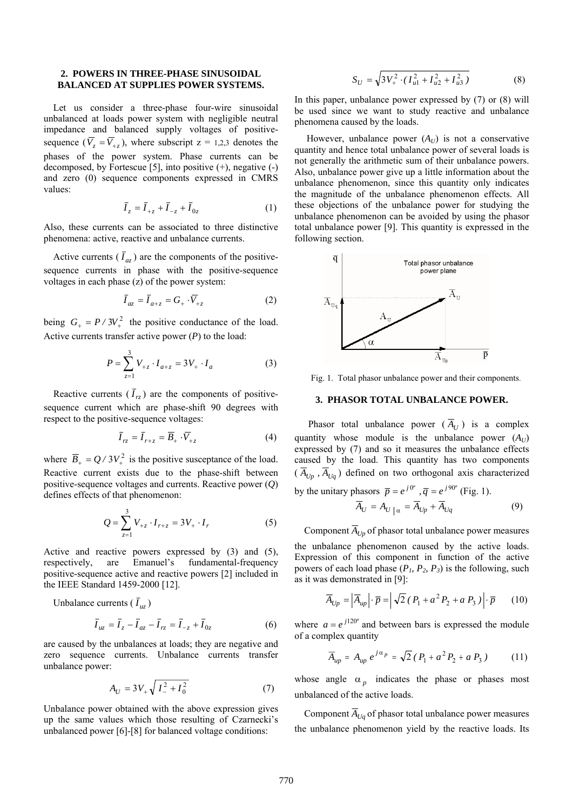#### **2. POWERS IN THREE-PHASE SINUSOIDAL BALANCED AT SUPPLIES POWER SYSTEMS.**

 Let us consider a three-phase four-wire sinusoidal unbalanced at loads power system with negligible neutral impedance and balanced supply voltages of positivesequence  $(\overline{V}_z = \overline{V}_{\perp z})$ , where subscript  $z = 1,2,3$  denotes the phases of the power system. Phase currents can be decomposed, by Fortescue [5], into positive  $(+)$ , negative  $(-)$ and zero (0) sequence components expressed in CMRS values:

$$
\overline{I}_z = \overline{I}_{+z} + \overline{I}_{-z} + \overline{I}_{0z} \tag{1}
$$

Also, these currents can be associated to three distinctive phenomena: active, reactive and unbalance currents.

Active currents  $(\bar{I}_{az})$  are the components of the positivesequence currents in phase with the positive-sequence voltages in each phase (z) of the power system:

$$
\overline{I}_{az} = \overline{I}_{a+z} = G_+ \cdot \overline{V}_{+z} \tag{2}
$$

being  $G_+ = P / 3V_+^2$  the positive conductance of the load. Active currents transfer active power  $(P)$  to the load:

$$
P = \sum_{z=1}^{3} V_{+z} \cdot I_{a+z} = 3V_{+} \cdot I_{a}
$$
 (3)

Reactive currents  $(\bar{I}_{r\bar{z}})$  are the components of positivesequence current which are phase-shift 90 degrees with respect to the positive-sequence voltages:

$$
\overline{I}_{rz} = \overline{I}_{r+z} = \overline{B}_+ \cdot \overline{V}_{+z} \tag{4}
$$

where  $\overline{B}_+ = Q / 3V_+^2$  is the positive susceptance of the load. Reactive current exists due to the phase-shift between positive-sequence voltages and currents. Reactive power (*Q*) defines effects of that phenomenon:

$$
Q = \sum_{z=1}^{3} V_{+z} \cdot I_{r+z} = 3V_{+} \cdot I_{r}
$$
 (5)

Active and reactive powers expressed by (3) and (5), respectively, are Emanuel's fundamental-frequency positive-sequence active and reactive powers [2] included in the IEEE Standard 1459-2000 [12].

Unbalance currents  $(\bar{I}_{uz})$ 

$$
\bar{I}_{uz} = \bar{I}_z - \bar{I}_{az} - \bar{I}_{rz} = \bar{I}_{-z} + \bar{I}_{0z}
$$
 (6)

are caused by the unbalances at loads; they are negative and zero sequence currents. Unbalance currents transfer unbalance power:

$$
A_U = 3V_+ \sqrt{I_-^2 + I_0^2} \tag{7}
$$

Unbalance power obtained with the above expression gives up the same values which those resulting of Czarnecki's unbalanced power [6]-[8] for balanced voltage conditions:

$$
S_U = \sqrt{3V_+^2 \cdot (I_{u1}^2 + I_{u2}^2 + I_{u3}^2)}
$$
 (8)

In this paper, unbalance power expressed by (7) or (8) will be used since we want to study reactive and unbalance phenomena caused by the loads.

However, unbalance power  $(A_U)$  is not a conservative quantity and hence total unbalance power of several loads is not generally the arithmetic sum of their unbalance powers. Also, unbalance power give up a little information about the unbalance phenomenon, since this quantity only indicates the magnitude of the unbalance phenomenon effects. All these objections of the unbalance power for studying the unbalance phenomenon can be avoided by using the phasor total unbalance power [9]. This quantity is expressed in the following section.



Fig. 1. Total phasor unbalance power and their components.

#### **3. PHASOR TOTAL UNBALANCE POWER.**

Phasor total unbalance power  $(\overline{A}_{U})$  is a complex quantity whose module is the unbalance power  $(A_U)$ expressed by (7) and so it measures the unbalance effects caused by the load. This quantity has two components  $(\overline{A}_{U_p}, \overline{A}_{U_q})$  defined on two orthogonal axis characterized by the unitary phasors  $\overline{p} = e^{j\theta}$ ,  $\overline{q} = e^{j90}$  (Fig. 1).

$$
\overline{A}_U = A_U \big|_{\alpha} = \overline{A}_{Up} + \overline{A}_{Uq} \tag{9}
$$

Component  $\overline{A}_{U_p}$  of phasor total unbalance power measures

the unbalance phenomenon caused by the active loads. Expression of this component in function of the active powers of each load phase  $(P_1, P_2, P_3)$  is the following, such as it was demonstrated in [9]:

$$
\overline{A}_{Up} = \left| \overline{A}_{up} \right| \cdot \overline{p} = \left| \sqrt{2} \left( P_1 + a^2 P_2 + a P_3 \right) \right| \cdot \overline{p} \qquad (10)
$$

where  $a = e^{j120^\circ}$  and between bars is expressed the module of a complex quantity

$$
\overline{A}_{up} = A_{up} e^{j\alpha_p} = \sqrt{2} (P_1 + a^2 P_2 + a P_3)
$$
 (11)

whose angle  $\alpha_p$  indicates the phase or phases most unbalanced of the active loads.

Component  $\overline{A}_{Uq}$  of phasor total unbalance power measures the unbalance phenomenon yield by the reactive loads. Its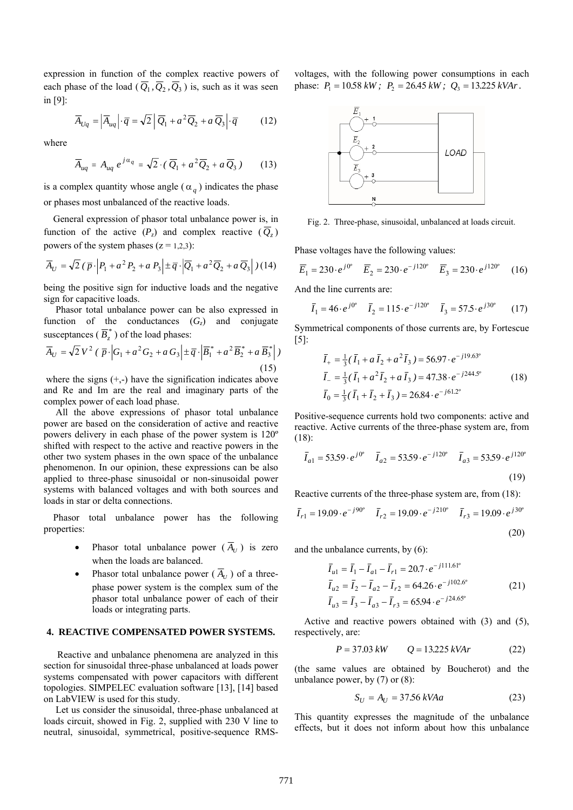expression in function of the complex reactive powers of each phase of the load ( $\overline{Q}_1$ ,  $\overline{Q}_2$ ,  $\overline{Q}_3$ ) is, such as it was seen in [9]:

$$
\overline{A}_{Uq} = \left| \overline{A}_{uq} \right| \cdot \overline{q} = \sqrt{2} \left| \overline{Q}_1 + a^2 \overline{Q}_2 + a \overline{Q}_3 \right| \cdot \overline{q} \tag{12}
$$

where

$$
\overline{A}_{uq} = A_{uq} e^{j\alpha_q} = \sqrt{2} \cdot (\overline{Q}_1 + a^2 \overline{Q}_2 + a \overline{Q}_3)
$$
 (13)

is a complex quantity whose angle ( $\alpha_q$ ) indicates the phase or phases most unbalanced of the reactive loads.

 General expression of phasor total unbalance power is, in function of the active  $(P_z)$  and complex reactive  $(Q_z)$ powers of the system phases  $(z = 1,2,3)$ :

$$
\overline{A}_U = \sqrt{2} \left( \overline{p} \cdot \left| P_1 + a^2 P_2 + a P_3 \right| \pm \overline{q} \cdot \left| \overline{Q}_1 + a^2 \overline{Q}_2 + a \overline{Q}_3 \right| \right) (14)
$$

being the positive sign for inductive loads and the negative sign for capacitive loads.

 Phasor total unbalance power can be also expressed in function of the conductances  $(G<sub>z</sub>)$  and conjugate susceptances ( $\overline{B}_z^*$ ) of the load phases:

$$
\overline{A}_U = \sqrt{2} V^2 (\overline{p} \cdot \left| G_1 + a^2 G_2 + a G_3 \right| \pm \overline{q} \cdot \left| \overline{B}_1^* + a^2 \overline{B}_2^* + a \overline{B}_3^* \right|)
$$
\n(15)

where the signs  $(+,-)$  have the signification indicates above and Re and Im are the real and imaginary parts of the complex power of each load phase.

 All the above expressions of phasor total unbalance power are based on the consideration of active and reactive powers delivery in each phase of the power system is 120º shifted with respect to the active and reactive powers in the other two system phases in the own space of the unbalance phenomenon. In our opinion, these expressions can be also applied to three-phase sinusoidal or non-sinusoidal power systems with balanced voltages and with both sources and loads in star or delta connections.

 Phasor total unbalance power has the following properties:

- Phasor total unbalance power  $(\overline{A}_U)$  is zero when the loads are balanced.
- Phasor total unbalance power ( $\overline{A}_{U}$ ) of a threephase power system is the complex sum of the phasor total unbalance power of each of their loads or integrating parts.

#### **4. REACTIVE COMPENSATED POWER SYSTEMS.**

Reactive and unbalance phenomena are analyzed in this section for sinusoidal three-phase unbalanced at loads power systems compensated with power capacitors with different topologies. SIMPELEC evaluation software [13], [14] based on LabVIEW is used for this study.

 Let us consider the sinusoidal, three-phase unbalanced at loads circuit, showed in Fig. 2, supplied with 230 V line to neutral, sinusoidal, symmetrical, positive-sequence RMS-

voltages, with the following power consumptions in each phase:  $P_1 = 10.58 \text{ kW}$ ;  $P_2 = 26.45 \text{ kW}$ ;  $Q_3 = 13.225 \text{ kVAr}$ .



Fig. 2. Three-phase, sinusoidal, unbalanced at loads circuit.

Phase voltages have the following values:

$$
\overline{E}_1 = 230 \cdot e^{j0^{\circ}} \quad \overline{E}_2 = 230 \cdot e^{-j120^{\circ}} \quad \overline{E}_3 = 230 \cdot e^{j120^{\circ}} \quad (16)
$$

And the line currents are:

$$
\bar{I}_1 = 46 \cdot e^{j0^{\circ}} \quad \bar{I}_2 = 115 \cdot e^{-j120^{\circ}} \quad \bar{I}_3 = 57.5 \cdot e^{j30^{\circ}} \tag{17}
$$

Symmetrical components of those currents are, by Fortescue  $[5]$ :

$$
\overline{I}_{+} = \frac{1}{3}(\overline{I}_{1} + a\overline{I}_{2} + a^{2}\overline{I}_{3}) = 56.97 \cdot e^{-j19.63^{o}} \n\overline{I}_{-} = \frac{1}{3}(\overline{I}_{1} + a^{2}\overline{I}_{2} + a\overline{I}_{3}) = 47.38 \cdot e^{-j244.5^{o}} \n\overline{I}_{0} = \frac{1}{3}(\overline{I}_{1} + \overline{I}_{2} + \overline{I}_{3}) = 26.84 \cdot e^{-j61.2^{o}}
$$
\n(18)

Positive-sequence currents hold two components: active and reactive. Active currents of the three-phase system are, from (18):

$$
\overline{I}_{a1} = 53.59 \cdot e^{j0^o} \quad \overline{I}_{a2} = 53.59 \cdot e^{-j120^o} \quad \overline{I}_{a3} = 53.59 \cdot e^{j120^o}
$$
\n(19)

Reactive currents of the three-phase system are, from (18):

$$
\overline{I}_{r1} = 19.09 \cdot e^{-j90^{\circ}} \quad \overline{I}_{r2} = 19.09 \cdot e^{-j210^{\circ}} \quad \overline{I}_{r3} = 19.09 \cdot e^{j30^{\circ}}
$$
\n(20)

and the unbalance currents, by (6):

$$
\overline{I}_{u1} = \overline{I}_1 - \overline{I}_{a1} - \overline{I}_{r1} = 20.7 \cdot e^{-j111.61^{\circ}}
$$
\n
$$
\overline{I}_{u2} = \overline{I}_2 - \overline{I}_{a2} - \overline{I}_{r2} = 64.26 \cdot e^{-j102.6^{\circ}}
$$
\n
$$
\overline{I}_{u3} = \overline{I}_3 - \overline{I}_{a3} - \overline{I}_{r3} = 65.94 \cdot e^{-j24.65^{\circ}}
$$
\n(21)

 Active and reactive powers obtained with (3) and (5), respectively, are:

$$
P = 37.03 \, kW \qquad Q = 13.225 \, kVAr \tag{22}
$$

(the same values are obtained by Boucherot) and the unbalance power, by (7) or (8):

$$
S_U = A_U = 37.56 \, kV A a \tag{23}
$$

This quantity expresses the magnitude of the unbalance effects, but it does not inform about how this unbalance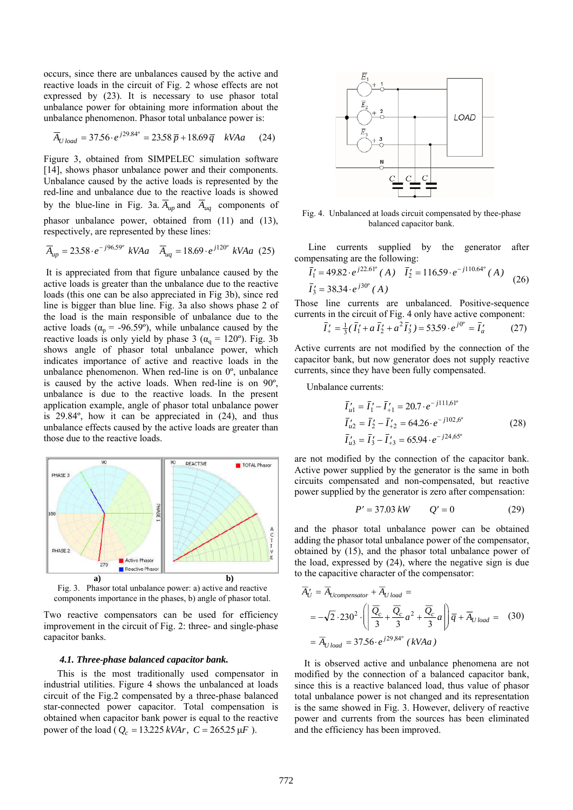occurs, since there are unbalances caused by the active and reactive loads in the circuit of Fig. 2 whose effects are not expressed by (23). It is necessary to use phasor total unbalance power for obtaining more information about the unbalance phenomenon. Phasor total unbalance power is:

$$
\overline{A}_{Uload} = 37.56 \cdot e^{j29.84^{\circ}} = 23.58 \, \overline{p} + 18.69 \, \overline{q} \quad kV A a \tag{24}
$$

Figure 3, obtained from SIMPELEC simulation software [14], shows phasor unbalance power and their components. Unbalance caused by the active loads is represented by the red-line and unbalance due to the reactive loads is showed by the blue-line in Fig. 3a.  $\overline{A}_{up}$  and  $\overline{A}_{uq}$  components of phasor unbalance power, obtained from (11) and (13), respectively, are represented by these lines:

$$
\overline{A}_{up} = 23.58 \cdot e^{-j96.59^{\circ}} \ kV A a \quad \overline{A}_{uq} = 18.69 \cdot e^{j120^{\circ}} \ kV A a \ (25)
$$

 It is appreciated from that figure unbalance caused by the active loads is greater than the unbalance due to the reactive loads (this one can be also appreciated in Fig 3b), since red line is bigger than blue line. Fig. 3a also shows phase 2 of the load is the main responsible of unbalance due to the active loads ( $\alpha_p$  = -96.59°), while unbalance caused by the reactive loads is only yield by phase 3 ( $\alpha_q = 120^\circ$ ). Fig. 3b shows angle of phasor total unbalance power, which indicates importance of active and reactive loads in the unbalance phenomenon. When red-line is on 0º, unbalance is caused by the active loads. When red-line is on 90º, unbalance is due to the reactive loads. In the present application example, angle of phasor total unbalance power is 29.84º, how it can be appreciated in (24), and thus unbalance effects caused by the active loads are greater than those due to the reactive loads.



Fig. 3. Phasor total unbalance power: a) active and reactive components importance in the phases, b) angle of phasor total.

Two reactive compensators can be used for efficiency improvement in the circuit of Fig. 2: three- and single-phase capacitor banks.

#### *4.1. Three-phase balanced capacitor bank.*

This is the most traditionally used compensator in industrial utilities. Figure 4 shows the unbalanced at loads circuit of the Fig.2 compensated by a three-phase balanced star-connected power capacitor. Total compensation is obtained when capacitor bank power is equal to the reactive power of the load ( $Q_c = 13.225 \, kVAr$ ,  $C = 265.25 \, \mu F$ ).



Fig. 4. Unbalanced at loads circuit compensated by thee-phase balanced capacitor bank.

Line currents supplied by the generator after compensating are the following:

$$
\overline{I}'_1 = 49.82 \cdot e^{j22.61^\circ} (A) \quad \overline{I}'_2 = 116.59 \cdot e^{-j110.64^\circ} (A)
$$
\n
$$
\overline{I}'_3 = 38.34 \cdot e^{j30^\circ} (A)
$$
\n(26)

Those line currents are unbalanced. Positive-sequence currents in the circuit of Fig. 4 only have active component:

$$
\bar{I}'_{+} = \frac{1}{3}(\bar{I}'_{1} + a\bar{I}'_{2} + a^{2}\bar{I}'_{3}) = 53.59 \cdot e^{j0^{o}} = \bar{I}'_{a}
$$
 (27)

Active currents are not modified by the connection of the capacitor bank, but now generator does not supply reactive currents, since they have been fully compensated.

Unbalance currents:

$$
\overline{I}'_{u1} = \overline{I}'_1 - \overline{I}'_{+1} = 20.7 \cdot e^{-j111,61^{\circ}}
$$
\n
$$
\overline{I}'_{u2} = \overline{I}'_2 - \overline{I}'_{+2} = 64.26 \cdot e^{-j102,6^{\circ}}
$$
\n
$$
\overline{I}'_{u3} = \overline{I}'_3 - \overline{I}'_{+3} = 65.94 \cdot e^{-j24,65^{\circ}}
$$
\n(28)

are not modified by the connection of the capacitor bank. Active power supplied by the generator is the same in both circuits compensated and non-compensated, but reactive power supplied by the generator is zero after compensation:

$$
P' = 37.03 \, kW \qquad Q' = 0 \tag{29}
$$

and the phasor total unbalance power can be obtained adding the phasor total unbalance power of the compensator, obtained by (15), and the phasor total unbalance power of the load, expressed by (24), where the negative sign is due to the capacitive character of the compensator:

$$
\overline{A}'_U = \overline{A}_{Ucompensator} + \overline{A}_{U load} =
$$
\n
$$
= -\sqrt{2} \cdot 230^2 \cdot \left( \left| \frac{\overline{Q}_c}{3} + \frac{\overline{Q}_c}{3} a^2 + \frac{\overline{Q}_c}{3} a \right| \right) \overline{q} + \overline{A}_{U load} = (30)
$$
\n
$$
= \overline{A}_{U load} = 37.56 \cdot e^{j29,84^\circ} \left( kVAa \right)
$$

 It is observed active and unbalance phenomena are not modified by the connection of a balanced capacitor bank, since this is a reactive balanced load, thus value of phasor total unbalance power is not changed and its representation is the same showed in Fig. 3. However, delivery of reactive power and currents from the sources has been eliminated and the efficiency has been improved.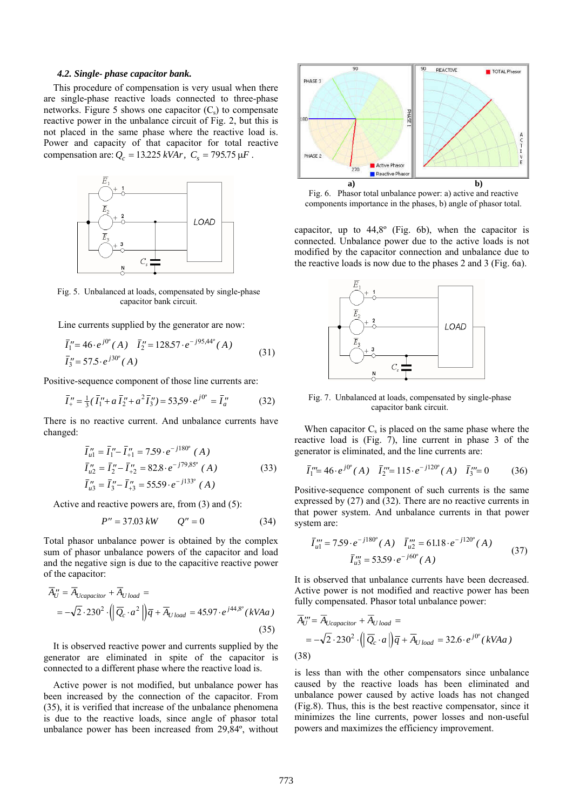#### *4.2. Single- phase capacitor bank.*

 This procedure of compensation is very usual when there are single-phase reactive loads connected to three-phase networks. Figure 5 shows one capacitor  $(C_s)$  to compensate reactive power in the unbalance circuit of Fig. 2, but this is not placed in the same phase where the reactive load is. Power and capacity of that capacitor for total reactive compensation are:  $Q_c = 13.225 \, kVAr$ ,  $C_s = 795.75 \, \mu F$ .



Fig. 5. Unbalanced at loads, compensated by single-phase capacitor bank circuit.

Line currents supplied by the generator are now:

$$
\overline{I}_{1}^{"}=46 \cdot e^{j0^{o}}(A) \quad \overline{I}_{2}^{"}=128.57 \cdot e^{-j95,44^{o}}(A)
$$
\n
$$
\overline{I}_{3}^{"}=57.5 \cdot e^{j30^{o}}(A)
$$
\n(31)

Positive-sequence component of those line currents are:

$$
\bar{I}''_{+} = \frac{1}{3}(\bar{I}''_{1} + a\bar{I}''_{2} + a^{2}\bar{I}''_{3}) = 53.59 \cdot e^{j0^{o}} = \bar{I}''_{a}
$$
 (32)

There is no reactive current. And unbalance currents have changed:

$$
\overline{I}_{u1}^{"} = \overline{I}_{1}^{"} - \overline{I}_{11}^{"} = 7.59 \cdot e^{-j180^{\circ}} (A)
$$
\n
$$
\overline{I}_{u2}^{"} = \overline{I}_{2}^{"} - \overline{I}_{12}^{"} = 82.8 \cdot e^{-j79.85^{\circ}} (A)
$$
\n
$$
\overline{I}_{u3}^{"} = \overline{I}_{3}^{"} - \overline{I}_{13}^{"} = 55.59 \cdot e^{-j133^{\circ}} (A)
$$
\n(33)

Active and reactive powers are, from (3) and (5):

$$
P'' = 37.03 \, kW \qquad Q'' = 0 \tag{34}
$$

Total phasor unbalance power is obtained by the complex sum of phasor unbalance powers of the capacitor and load and the negative sign is due to the capacitive reactive power of the capacitor:

$$
\overline{A}_{U}^{"'} = \overline{A}_{Ucapacitor} + \overline{A}_{U \text{ load}} =
$$
\n
$$
= -\sqrt{2} \cdot 230^{2} \cdot \left( \left| \overline{Q}_{c} \cdot a^{2} \right| \right) \overline{q} + \overline{A}_{U \text{ load}} = 45.97 \cdot e^{j44.8^{\circ}} \left( kVAa \right)
$$
\n(35)

 It is observed reactive power and currents supplied by the generator are eliminated in spite of the capacitor is connected to a different phase where the reactive load is.

 Active power is not modified, but unbalance power has been increased by the connection of the capacitor. From (35), it is verified that increase of the unbalance phenomena is due to the reactive loads, since angle of phasor total unbalance power has been increased from 29,84º, without



Fig. 6. Phasor total unbalance power: a) active and reactive components importance in the phases, b) angle of phasor total.

capacitor, up to 44,8º (Fig. 6b), when the capacitor is connected. Unbalance power due to the active loads is not modified by the capacitor connection and unbalance due to the reactive loads is now due to the phases 2 and 3 (Fig. 6a).



Fig. 7. Unbalanced at loads, compensated by single-phase capacitor bank circuit.

When capacitor  $C_s$  is placed on the same phase where the reactive load is (Fig. 7), line current in phase 3 of the generator is eliminated, and the line currents are:

$$
\bar{I}_1''' = 46 \cdot e^{j0} (A) \quad \bar{I}_2''' = 115 \cdot e^{-j120} (A) \quad \bar{I}_3''' = 0 \tag{36}
$$

Positive-sequence component of such currents is the same expressed by (27) and (32). There are no reactive currents in that power system. And unbalance currents in that power system are:

$$
\overline{I}_{u1}''' = 7.59 \cdot e^{-j180^\circ} (A) \quad \overline{I}_{u2}''' = 61.18 \cdot e^{-j120^\circ} (A)
$$
\n
$$
\overline{I}_{u3}''' = 53.59 \cdot e^{-j60^\circ} (A)
$$
\n(37)

It is observed that unbalance currents have been decreased. Active power is not modified and reactive power has been fully compensated. Phasor total unbalance power:

$$
\overline{A}_{U}^{"'} = \overline{A}_{Ucapacitor} + \overline{A}_{U\,load} =
$$
\n
$$
= -\sqrt{2} \cdot 230^{2} \cdot \left( \left| \overline{Q}_{c} \cdot a \right| \right) \overline{q} + \overline{A}_{U\,load} = 32.6 \cdot e^{j0^{o}} (\, kVAa \,)
$$
\n(38)

is less than with the other compensators since unbalance caused by the reactive loads has been eliminated and unbalance power caused by active loads has not changed (Fig.8). Thus, this is the best reactive compensator, since it minimizes the line currents, power losses and non-useful powers and maximizes the efficiency improvement.